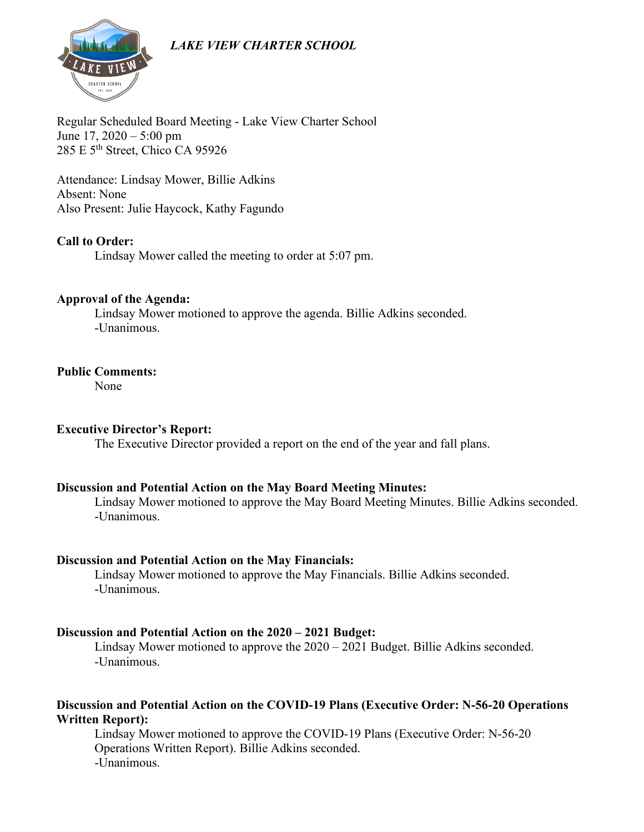

Regular Scheduled Board Meeting - Lake View Charter School June 17, 2020 – 5:00 pm 285 E 5<sup>th</sup> Street, Chico CA 95926

Attendance: Lindsay Mower, Billie Adkins Absent: None Also Present: Julie Haycock, Kathy Fagundo

## **Call to Order:**

Lindsay Mower called the meeting to order at 5:07 pm.

#### **Approval of the Agenda:**

Lindsay Mower motioned to approve the agenda. Billie Adkins seconded. -Unanimous.

## **Public Comments:**

None

## **Executive Director's Report:**

The Executive Director provided a report on the end of the year and fall plans.

#### **Discussion and Potential Action on the May Board Meeting Minutes:**

Lindsay Mower motioned to approve the May Board Meeting Minutes. Billie Adkins seconded. -Unanimous.

#### **Discussion and Potential Action on the May Financials:**

Lindsay Mower motioned to approve the May Financials. Billie Adkins seconded. -Unanimous.

## **Discussion and Potential Action on the 2020 – 2021 Budget:**

Lindsay Mower motioned to approve the 2020 – 2021 Budget. Billie Adkins seconded. -Unanimous.

## **Discussion and Potential Action on the COVID-19 Plans (Executive Order: N-56-20 Operations Written Report):**

Lindsay Mower motioned to approve the COVID-19 Plans (Executive Order: N-56-20 Operations Written Report). Billie Adkins seconded. -Unanimous.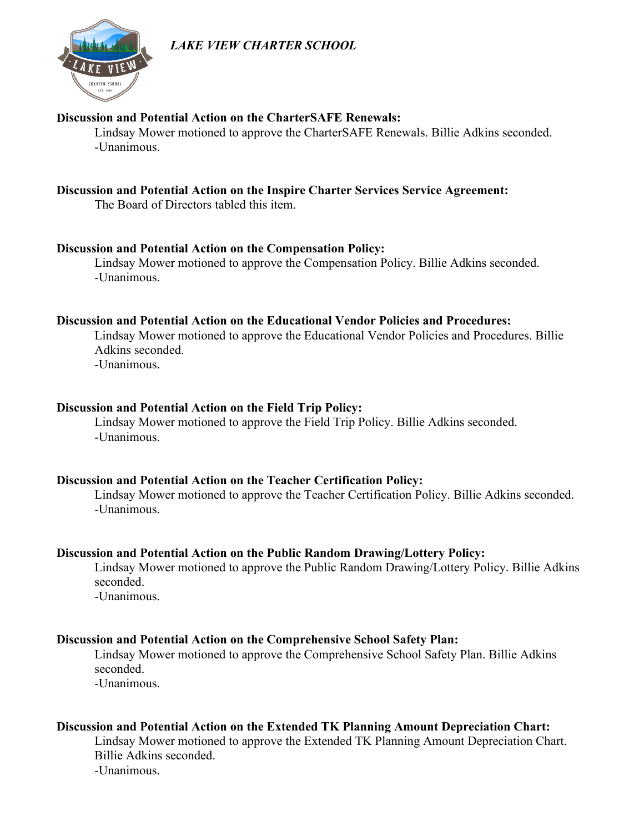

## **Discussion and Potential Action on the CharterSAFE Renewals:**

Lindsay Mower motioned to approve the CharterSAFE Renewals. Billie Adkins seconded. -Unanimous.

## **Discussion and Potential Action on the Inspire Charter Services Service Agreement:**

The Board of Directors tabled this item.

## **Discussion and Potential Action on the Compensation Policy:**

Lindsay Mower motioned to approve the Compensation Policy. Billie Adkins seconded. -Unanimous.

## **Discussion and Potential Action on the Educational Vendor Policies and Procedures:**

Lindsay Mower motioned to approve the Educational Vendor Policies and Procedures. Billie Adkins seconded. -Unanimous.

## **Discussion and Potential Action on the Field Trip Policy:**

Lindsay Mower motioned to approve the Field Trip Policy. Billie Adkins seconded. -Unanimous.

## **Discussion and Potential Action on the Teacher Certification Policy:**

Lindsay Mower motioned to approve the Teacher Certification Policy. Billie Adkins seconded. -Unanimous.

## **Discussion and Potential Action on the Public Random Drawing/Lottery Policy:**

Lindsay Mower motioned to approve the Public Random Drawing/Lottery Policy. Billie Adkins seconded.

-Unanimous.

## **Discussion and Potential Action on the Comprehensive School Safety Plan:**

Lindsay Mower motioned to approve the Comprehensive School Safety Plan. Billie Adkins seconded.

-Unanimous.

## **Discussion and Potential Action on the Extended TK Planning Amount Depreciation Chart:**

Lindsay Mower motioned to approve the Extended TK Planning Amount Depreciation Chart. Billie Adkins seconded. -Unanimous.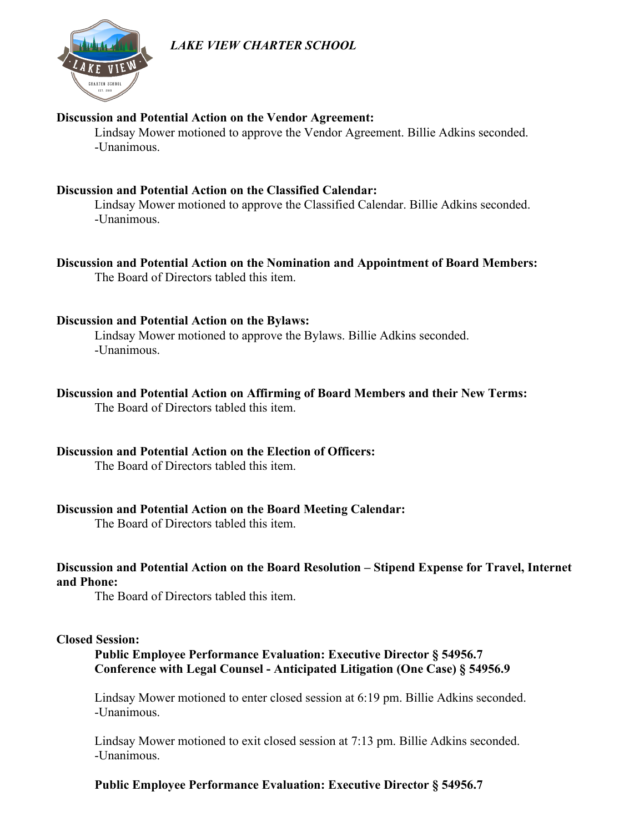

#### **Discussion and Potential Action on the Vendor Agreement:**

Lindsay Mower motioned to approve the Vendor Agreement. Billie Adkins seconded. -Unanimous.

## **Discussion and Potential Action on the Classified Calendar:**

Lindsay Mower motioned to approve the Classified Calendar. Billie Adkins seconded. -Unanimous.

## **Discussion and Potential Action on the Nomination and Appointment of Board Members:**

The Board of Directors tabled this item.

## **Discussion and Potential Action on the Bylaws:**

Lindsay Mower motioned to approve the Bylaws. Billie Adkins seconded. -Unanimous.

## **Discussion and Potential Action on Affirming of Board Members and their New Terms:**

The Board of Directors tabled this item.

## **Discussion and Potential Action on the Election of Officers:**

The Board of Directors tabled this item.

## **Discussion and Potential Action on the Board Meeting Calendar:**

The Board of Directors tabled this item.

## **Discussion and Potential Action on the Board Resolution – Stipend Expense for Travel, Internet and Phone:**

The Board of Directors tabled this item.

## **Closed Session:**

**Public Employee Performance Evaluation: Executive Director § 54956.7 Conference with Legal Counsel - Anticipated Litigation (One Case) § 54956.9**

Lindsay Mower motioned to enter closed session at 6:19 pm. Billie Adkins seconded. -Unanimous.

Lindsay Mower motioned to exit closed session at 7:13 pm. Billie Adkins seconded. -Unanimous.

## **Public Employee Performance Evaluation: Executive Director § 54956.7**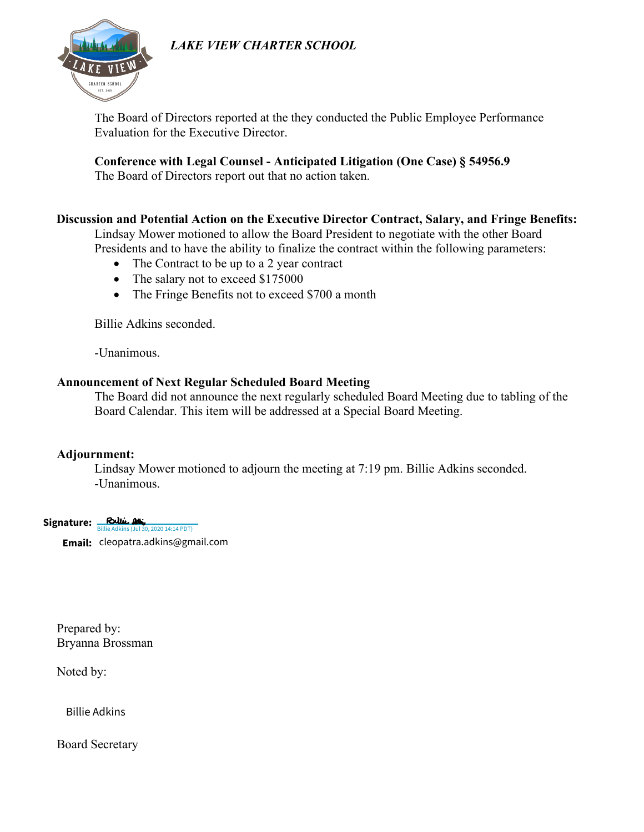

The Board of Directors reported at the they conducted the Public Employee Performance Evaluation for the Executive Director.

**Conference with Legal Counsel - Anticipated Litigation (One Case) § 54956.9** 

The Board of Directors report out that no action taken.

## **Discussion and Potential Action on the Executive Director Contract, Salary, and Fringe Benefits:**

Lindsay Mower motioned to allow the Board President to negotiate with the other Board Presidents and to have the ability to finalize the contract within the following parameters:

- The Contract to be up to a 2 year contract
- The salary not to exceed \$175000
- The Fringe Benefits not to exceed \$700 a month

Billie Adkins seconded.

-Unanimous.

## **Announcement of Next Regular Scheduled Board Meeting**

The Board did not announce the next regularly scheduled Board Meeting due to tabling of the Board Calendar. This item will be addressed at a Special Board Meeting.

## **Adjournment:**

Lindsay Mower motioned to adjourn the meeting at 7:19 pm. Billie Adkins seconded. -Unanimous.

**Signature: Billie Adkins (Jul 30, 2020 14:14 PDT)** 

**Email:** cleopatra.adkins@gmail.com

Prepared by: Bryanna Brossman :**mail:** cleopatra.adkins@gmail.com<br>repared by:<br>ryanna Brossman<br>oted by:<br>Billie Adkins

Noted by:

Board Secretary